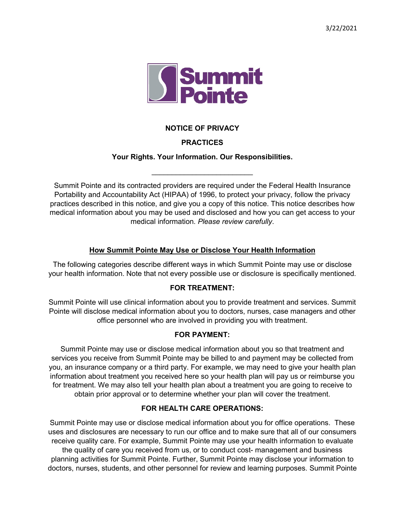

# **NOTICE OF PRIVACY**

### **PRACTICES**

## **Your Rights. Your Information. Our Responsibilities.**

\_\_\_\_\_\_\_\_\_\_\_\_\_\_\_\_\_\_\_\_\_\_\_\_\_

Summit Pointe and its contracted providers are required under the Federal Health Insurance Portability and Accountability Act (HIPAA) of 1996, to protect your privacy, follow the privacy practices described in this notice, and give you a copy of this notice. This notice describes how medical information about you may be used and disclosed and how you can get access to your medical information. *Please review carefully*.

## **How Summit Pointe May Use or Disclose Your Health Information**

The following categories describe different ways in which Summit Pointe may use or disclose your health information. Note that not every possible use or disclosure is specifically mentioned.

### **FOR TREATMENT:**

Summit Pointe will use clinical information about you to provide treatment and services. Summit Pointe will disclose medical information about you to doctors, nurses, case managers and other office personnel who are involved in providing you with treatment.

## **FOR PAYMENT:**

Summit Pointe may use or disclose medical information about you so that treatment and services you receive from Summit Pointe may be billed to and payment may be collected from you, an insurance company or a third party. For example, we may need to give your health plan information about treatment you received here so your health plan will pay us or reimburse you for treatment. We may also tell your health plan about a treatment you are going to receive to obtain prior approval or to determine whether your plan will cover the treatment.

### **FOR HEALTH CARE OPERATIONS:**

Summit Pointe may use or disclose medical information about you for office operations. These uses and disclosures are necessary to run our office and to make sure that all of our consumers receive quality care. For example, Summit Pointe may use your health information to evaluate the quality of care you received from us, or to conduct cost- management and business planning activities for Summit Pointe. Further, Summit Pointe may disclose your information to doctors, nurses, students, and other personnel for review and learning purposes. Summit Pointe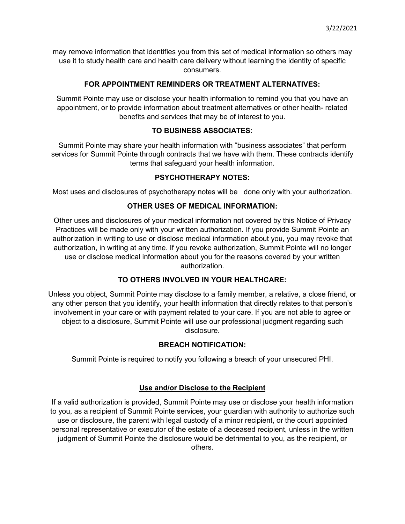may remove information that identifies you from this set of medical information so others may use it to study health care and health care delivery without learning the identity of specific consumers.

## **FOR APPOINTMENT REMINDERS OR TREATMENT ALTERNATIVES:**

Summit Pointe may use or disclose your health information to remind you that you have an appointment, or to provide information about treatment alternatives or other health- related benefits and services that may be of interest to you.

## **TO BUSINESS ASSOCIATES:**

Summit Pointe may share your health information with "business associates" that perform services for Summit Pointe through contracts that we have with them. These contracts identify terms that safeguard your health information.

## **PSYCHOTHERAPY NOTES:**

Most uses and disclosures of psychotherapy notes will be done only with your authorization.

## **OTHER USES OF MEDICAL INFORMATION:**

Other uses and disclosures of your medical information not covered by this Notice of Privacy Practices will be made only with your written authorization. If you provide Summit Pointe an authorization in writing to use or disclose medical information about you, you may revoke that authorization, in writing at any time. If you revoke authorization, Summit Pointe will no longer use or disclose medical information about you for the reasons covered by your written authorization.

## **TO OTHERS INVOLVED IN YOUR HEALTHCARE:**

Unless you object, Summit Pointe may disclose to a family member, a relative, a close friend, or any other person that you identify, your health information that directly relates to that person's involvement in your care or with payment related to your care. If you are not able to agree or object to a disclosure, Summit Pointe will use our professional judgment regarding such disclosure.

### **BREACH NOTIFICATION:**

Summit Pointe is required to notify you following a breach of your unsecured PHI.

### **Use and/or Disclose to the Recipient**

If a valid authorization is provided, Summit Pointe may use or disclose your health information to you, as a recipient of Summit Pointe services, your guardian with authority to authorize such use or disclosure, the parent with legal custody of a minor recipient, or the court appointed personal representative or executor of the estate of a deceased recipient, unless in the written judgment of Summit Pointe the disclosure would be detrimental to you, as the recipient, or others.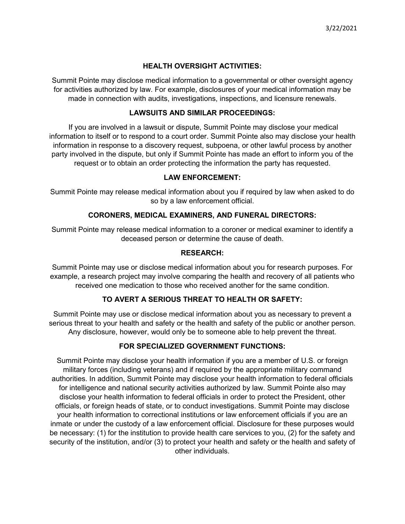### **HEALTH OVERSIGHT ACTIVITIES:**

Summit Pointe may disclose medical information to a governmental or other oversight agency for activities authorized by law. For example, disclosures of your medical information may be made in connection with audits, investigations, inspections, and licensure renewals.

### **LAWSUITS AND SIMILAR PROCEEDINGS:**

If you are involved in a lawsuit or dispute, Summit Pointe may disclose your medical information to itself or to respond to a court order. Summit Pointe also may disclose your health information in response to a discovery request, subpoena, or other lawful process by another party involved in the dispute, but only if Summit Pointe has made an effort to inform you of the request or to obtain an order protecting the information the party has requested.

#### **LAW ENFORCEMENT:**

Summit Pointe may release medical information about you if required by law when asked to do so by a law enforcement official.

#### **CORONERS, MEDICAL EXAMINERS, AND FUNERAL DIRECTORS:**

Summit Pointe may release medical information to a coroner or medical examiner to identify a deceased person or determine the cause of death.

#### **RESEARCH:**

Summit Pointe may use or disclose medical information about you for research purposes. For example, a research project may involve comparing the health and recovery of all patients who received one medication to those who received another for the same condition.

### **TO AVERT A SERIOUS THREAT TO HEALTH OR SAFETY:**

Summit Pointe may use or disclose medical information about you as necessary to prevent a serious threat to your health and safety or the health and safety of the public or another person. Any disclosure, however, would only be to someone able to help prevent the threat.

### **FOR SPECIALIZED GOVERNMENT FUNCTIONS:**

Summit Pointe may disclose your health information if you are a member of U.S. or foreign military forces (including veterans) and if required by the appropriate military command authorities. In addition, Summit Pointe may disclose your health information to federal officials for intelligence and national security activities authorized by law. Summit Pointe also may disclose your health information to federal officials in order to protect the President, other officials, or foreign heads of state, or to conduct investigations. Summit Pointe may disclose your health information to correctional institutions or law enforcement officials if you are an inmate or under the custody of a law enforcement official. Disclosure for these purposes would be necessary: (1) for the institution to provide health care services to you, (2) for the safety and security of the institution, and/or (3) to protect your health and safety or the health and safety of other individuals.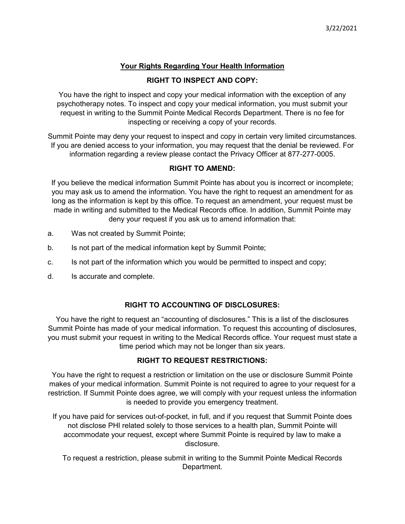## **Your Rights Regarding Your Health Information**

## **RIGHT TO INSPECT AND COPY:**

You have the right to inspect and copy your medical information with the exception of any psychotherapy notes. To inspect and copy your medical information, you must submit your request in writing to the Summit Pointe Medical Records Department. There is no fee for inspecting or receiving a copy of your records.

Summit Pointe may deny your request to inspect and copy in certain very limited circumstances. If you are denied access to your information, you may request that the denial be reviewed. For information regarding a review please contact the Privacy Officer at 877-277-0005.

## **RIGHT TO AMEND:**

If you believe the medical information Summit Pointe has about you is incorrect or incomplete; you may ask us to amend the information. You have the right to request an amendment for as long as the information is kept by this office. To request an amendment, your request must be made in writing and submitted to the Medical Records office. In addition, Summit Pointe may deny your request if you ask us to amend information that:

- a. Was not created by Summit Pointe;
- b. Is not part of the medical information kept by Summit Pointe;
- c. Is not part of the information which you would be permitted to inspect and copy;
- d. Is accurate and complete.

### **RIGHT TO ACCOUNTING OF DISCLOSURES:**

You have the right to request an "accounting of disclosures." This is a list of the disclosures Summit Pointe has made of your medical information. To request this accounting of disclosures, you must submit your request in writing to the Medical Records office. Your request must state a time period which may not be longer than six years.

### **RIGHT TO REQUEST RESTRICTIONS:**

You have the right to request a restriction or limitation on the use or disclosure Summit Pointe makes of your medical information. Summit Pointe is not required to agree to your request for a restriction. If Summit Pointe does agree, we will comply with your request unless the information is needed to provide you emergency treatment.

If you have paid for services out-of-pocket, in full, and if you request that Summit Pointe does not disclose PHI related solely to those services to a health plan, Summit Pointe will accommodate your request, except where Summit Pointe is required by law to make a disclosure.

To request a restriction, please submit in writing to the Summit Pointe Medical Records Department.